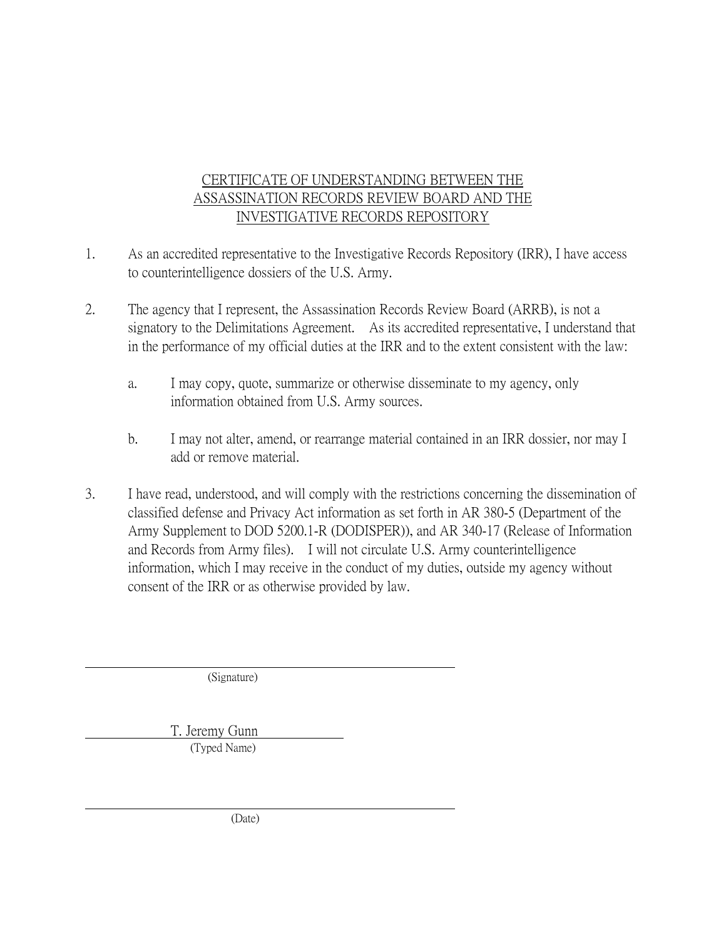- 1. As an accredited representative to the Investigative Records Repository (IRR), I have access to counterintelligence dossiers of the U.S. Army.
- 2. The agency that I represent, the Assassination Records Review Board (ARRB), is not a signatory to the Delimitations Agreement. As its accredited representative, I understand that in the performance of my official duties at the IRR and to the extent consistent with the law:
	- a. I may copy, quote, summarize or otherwise disseminate to my agency, only information obtained from U.S. Army sources.
	- b. I may not alter, amend, or rearrange material contained in an IRR dossier, nor may I add or remove material.
- 3. I have read, understood, and will comply with the restrictions concerning the dissemination of classified defense and Privacy Act information as set forth in AR 380-5 (Department of the Army Supplement to DOD 5200.1-R (DODISPER)), and AR 340-17 (Release of Information and Records from Army files). I will not circulate U.S. Army counterintelligence information, which I may receive in the conduct of my duties, outside my agency without consent of the IRR or as otherwise provided by law.

(Signature)

 T. Jeremy Gunn (Typed Name)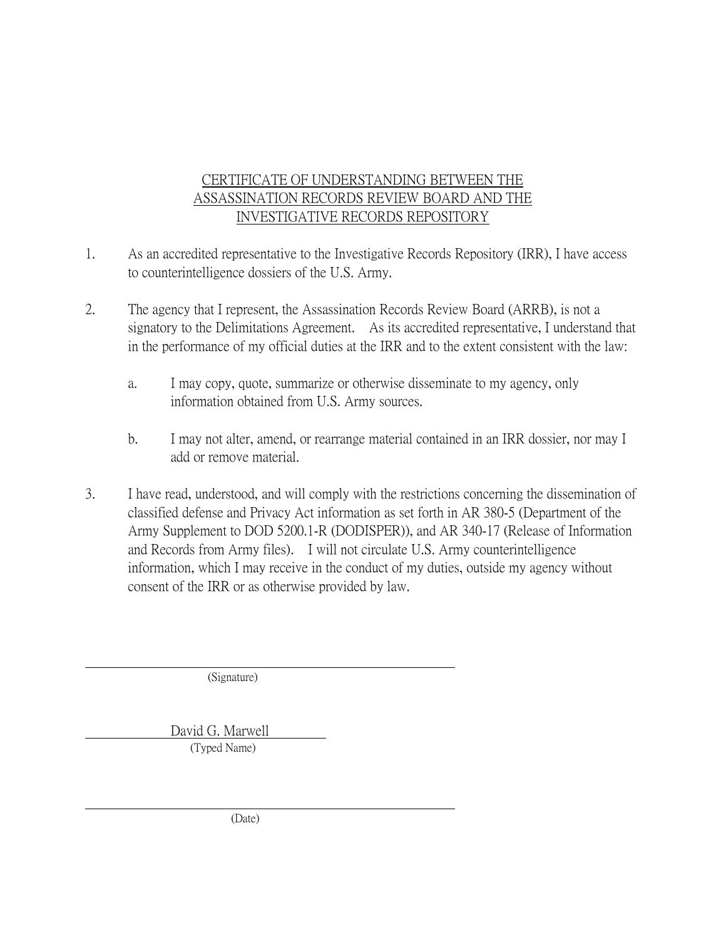- 1. As an accredited representative to the Investigative Records Repository (IRR), I have access to counterintelligence dossiers of the U.S. Army.
- 2. The agency that I represent, the Assassination Records Review Board (ARRB), is not a signatory to the Delimitations Agreement. As its accredited representative, I understand that in the performance of my official duties at the IRR and to the extent consistent with the law:
	- a. I may copy, quote, summarize or otherwise disseminate to my agency, only information obtained from U.S. Army sources.
	- b. I may not alter, amend, or rearrange material contained in an IRR dossier, nor may I add or remove material.
- 3. I have read, understood, and will comply with the restrictions concerning the dissemination of classified defense and Privacy Act information as set forth in AR 380-5 (Department of the Army Supplement to DOD 5200.1-R (DODISPER)), and AR 340-17 (Release of Information and Records from Army files). I will not circulate U.S. Army counterintelligence information, which I may receive in the conduct of my duties, outside my agency without consent of the IRR or as otherwise provided by law.

(Signature)

 David G. Marwell (Typed Name)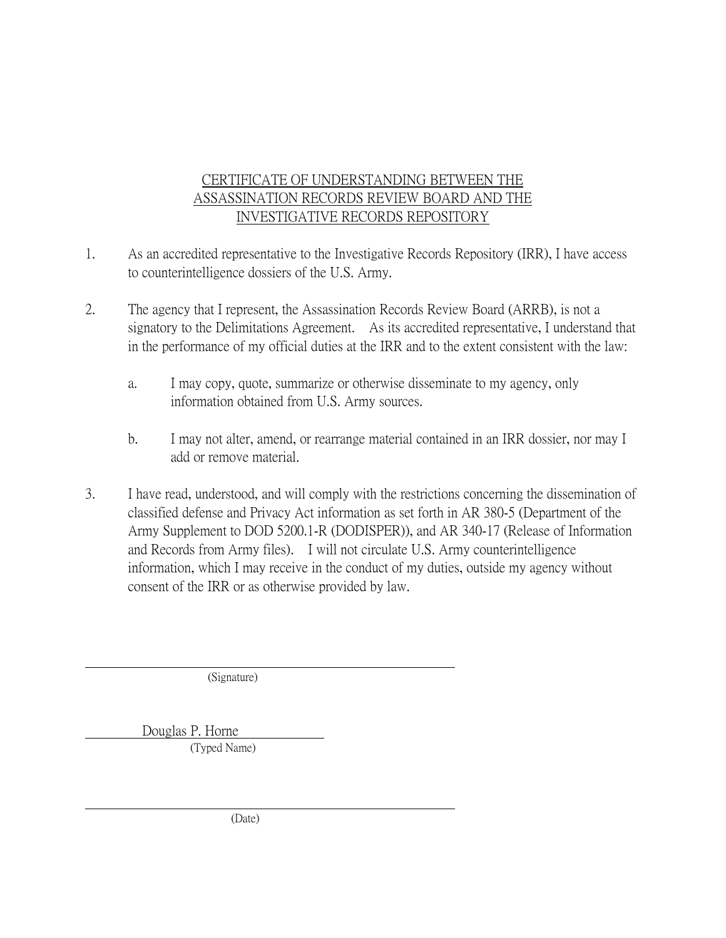- 1. As an accredited representative to the Investigative Records Repository (IRR), I have access to counterintelligence dossiers of the U.S. Army.
- 2. The agency that I represent, the Assassination Records Review Board (ARRB), is not a signatory to the Delimitations Agreement. As its accredited representative, I understand that in the performance of my official duties at the IRR and to the extent consistent with the law:
	- a. I may copy, quote, summarize or otherwise disseminate to my agency, only information obtained from U.S. Army sources.
	- b. I may not alter, amend, or rearrange material contained in an IRR dossier, nor may I add or remove material.
- 3. I have read, understood, and will comply with the restrictions concerning the dissemination of classified defense and Privacy Act information as set forth in AR 380-5 (Department of the Army Supplement to DOD 5200.1-R (DODISPER)), and AR 340-17 (Release of Information and Records from Army files). I will not circulate U.S. Army counterintelligence information, which I may receive in the conduct of my duties, outside my agency without consent of the IRR or as otherwise provided by law.

(Signature)

Douglas P. Horne

(Typed Name)